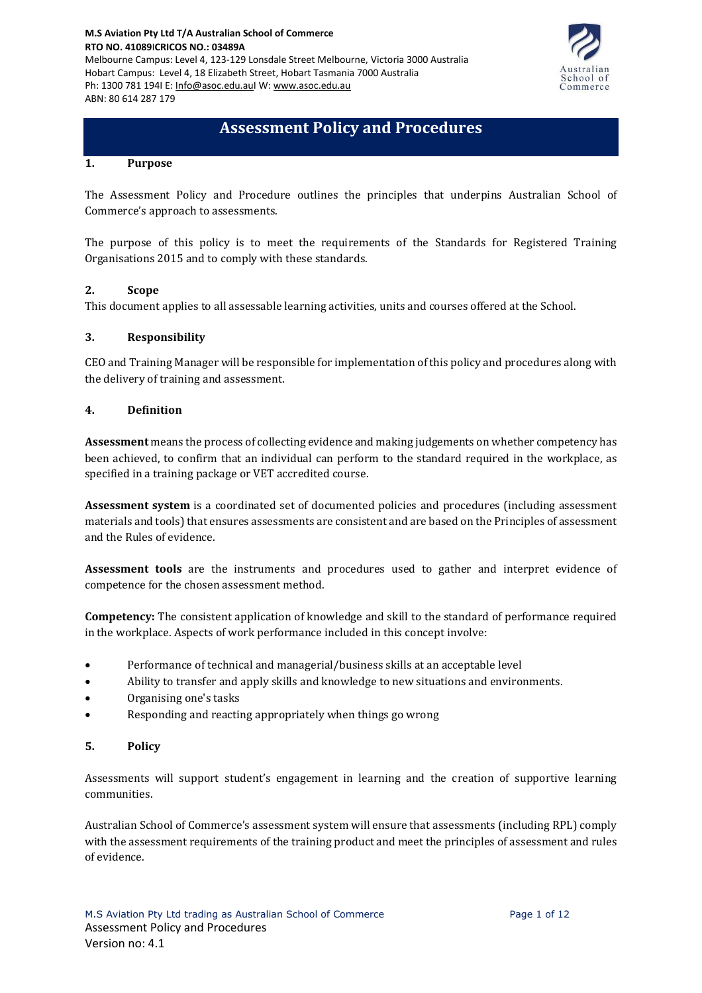

# **Assessment Policy and Procedures**

#### **1. Purpose**

The Assessment Policy and Procedure outlines the principles that underpins Australian School of Commerce's approach to assessments.

The purpose of this policy is to meet the requirements of the Standards for Registered Training Organisations 2015 and to comply with these standards.

#### **2. Scope**

This document applies to all assessable learning activities, units and courses offered at the School.

#### **3. Responsibility**

CEO and Training Manager will be responsible for implementation of this policy and procedures along with the delivery of training and assessment.

#### **4. Definition**

**Assessment** means the process of collecting evidence and making judgements on whether competency has been achieved, to confirm that an individual can perform to the standard required in the workplace, as specified in a training package or VET accredited course.

**Assessment system** is a coordinated set of documented policies and procedures (including assessment materials and tools) that ensures assessments are consistent and are based on the Principles of assessment and the Rules of evidence.

**Assessment tools** are the instruments and procedures used to gather and interpret evidence of competence for the chosen assessment method.

**Competency:** The consistent application of knowledge and skill to the standard of performance required in the workplace. Aspects of work performance included in this concept involve:

- Performance of technical and managerial/business skills at an acceptable level
- Ability to transfer and apply skills and knowledge to new situations and environments.
- Organising one's tasks
- Responding and reacting appropriately when things go wrong

#### **5. Policy**

Assessments will support student's engagement in learning and the creation of supportive learning communities.

Australian School of Commerce's assessment system will ensure that assessments (including RPL) comply with the assessment requirements of the training product and meet the principles of assessment and rules of evidence.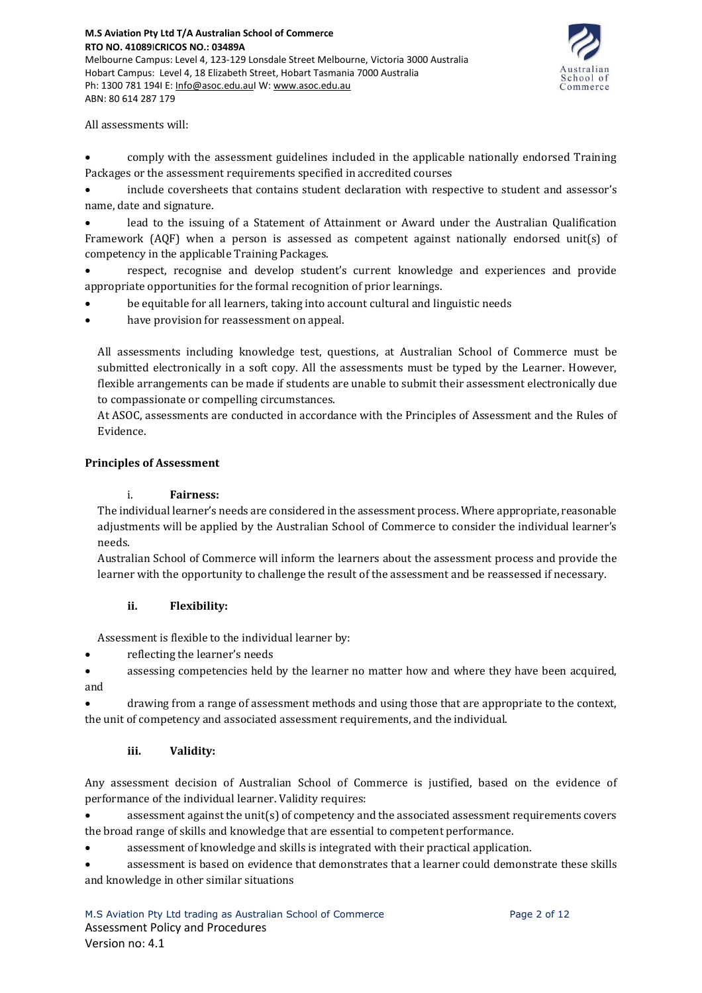# **M.S Aviation Pty Ltd T/A Australian School of Commerce RTO NO. 41089**I**CRICOS NO.: 03489A**

Melbourne Campus: Level 4, 123-129 Lonsdale Street Melbourne, Victoria 3000 Australia Hobart Campus: Level 4, 18 Elizabeth Street, Hobart Tasmania 7000 Australia Ph: 1300 781 194I E: [Info@asoc.edu.auI](mailto:Info@asoc.edu.au) W: [www.asoc.edu.au](http://www.asoc.edu.au/) ABN: 80 614 287 179



All assessments will:

• comply with the assessment guidelines included in the applicable nationally endorsed Training Packages or the assessment requirements specified in accredited courses

• include coversheets that contains student declaration with respective to student and assessor's name, date and signature.

lead to the issuing of a Statement of Attainment or Award under the Australian Qualification Framework (AQF) when a person is assessed as competent against nationally endorsed unit(s) of competency in the applicable Training Packages.

• respect, recognise and develop student's current knowledge and experiences and provide appropriate opportunities for the formal recognition of prior learnings.

- be equitable for all learners, taking into account cultural and linguistic needs
- have provision for reassessment on appeal.

All assessments including knowledge test, questions, at Australian School of Commerce must be submitted electronically in a soft copy. All the assessments must be typed by the Learner. However, flexible arrangements can be made if students are unable to submit their assessment electronically due to compassionate or compelling circumstances.

At ASOC, assessments are conducted in accordance with the Principles of Assessment and the Rules of Evidence.

#### **Principles of Assessment**

#### i. **Fairness:**

The individual learner's needs are considered in the assessment process. Where appropriate, reasonable adjustments will be applied by the Australian School of Commerce to consider the individual learner's needs.

Australian School of Commerce will inform the learners about the assessment process and provide the learner with the opportunity to challenge the result of the assessment and be reassessed if necessary.

# **ii. Flexibility:**

Assessment is flexible to the individual learner by:

• reflecting the learner's needs

• assessing competencies held by the learner no matter how and where they have been acquired, and

• drawing from a range of assessment methods and using those that are appropriate to the context, the unit of competency and associated assessment requirements, and the individual.

# **iii. Validity:**

Any assessment decision of Australian School of Commerce is justified, based on the evidence of performance of the individual learner. Validity requires:

assessment against the unit(s) of competency and the associated assessment requirements covers the broad range of skills and knowledge that are essential to competent performance.

• assessment of knowledge and skills is integrated with their practical application.

• assessment is based on evidence that demonstrates that a learner could demonstrate these skills and knowledge in other similar situations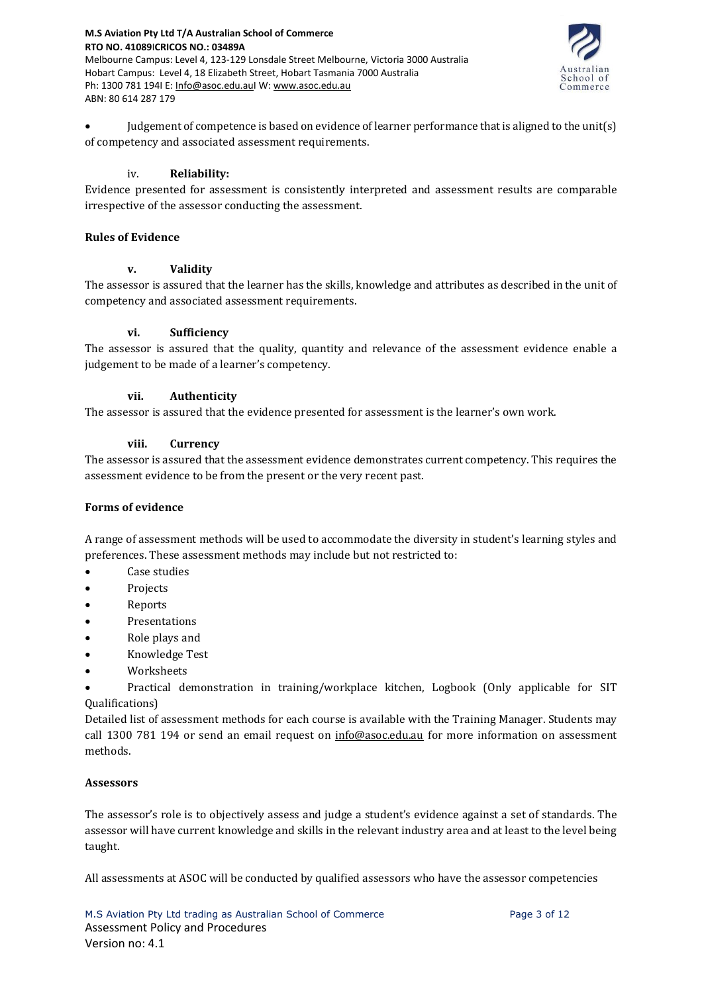

• Judgement of competence is based on evidence of learner performance that is aligned to the unit(s) of competency and associated assessment requirements.

#### iv. **Reliability:**

Evidence presented for assessment is consistently interpreted and assessment results are comparable irrespective of the assessor conducting the assessment.

#### **Rules of Evidence**

#### **v. Validity**

The assessor is assured that the learner has the skills, knowledge and attributes as described in the unit of competency and associated assessment requirements.

#### **vi. Sufficiency**

The assessor is assured that the quality, quantity and relevance of the assessment evidence enable a judgement to be made of a learner's competency.

#### **vii. Authenticity**

The assessor is assured that the evidence presented for assessment is the learner's own work.

#### **viii. Currency**

The assessor is assured that the assessment evidence demonstrates current competency. This requires the assessment evidence to be from the present or the very recent past.

# **Forms of evidence**

A range of assessment methods will be used to accommodate the diversity in student's learning styles and preferences. These assessment methods may include but not restricted to:

- Case studies
- **Projects**
- Reports
- **Presentations**
- Role plays and
- Knowledge Test
- Worksheets
- Practical demonstration in training/workplace kitchen, Logbook (Only applicable for SIT Qualifications)

Detailed list of assessment methods for each course is available with the Training Manager. Students may call 1300 781 194 or send an email request on [info@asoc.edu.au](mailto:info@asoc.edu.au) for more information on assessment methods.

# **Assessors**

The assessor's role is to objectively assess and judge a student's evidence against a set of standards. The assessor will have current knowledge and skills in the relevant industry area and at least to the level being taught.

All assessments at ASOC will be conducted by qualified assessors who have the assessor competencies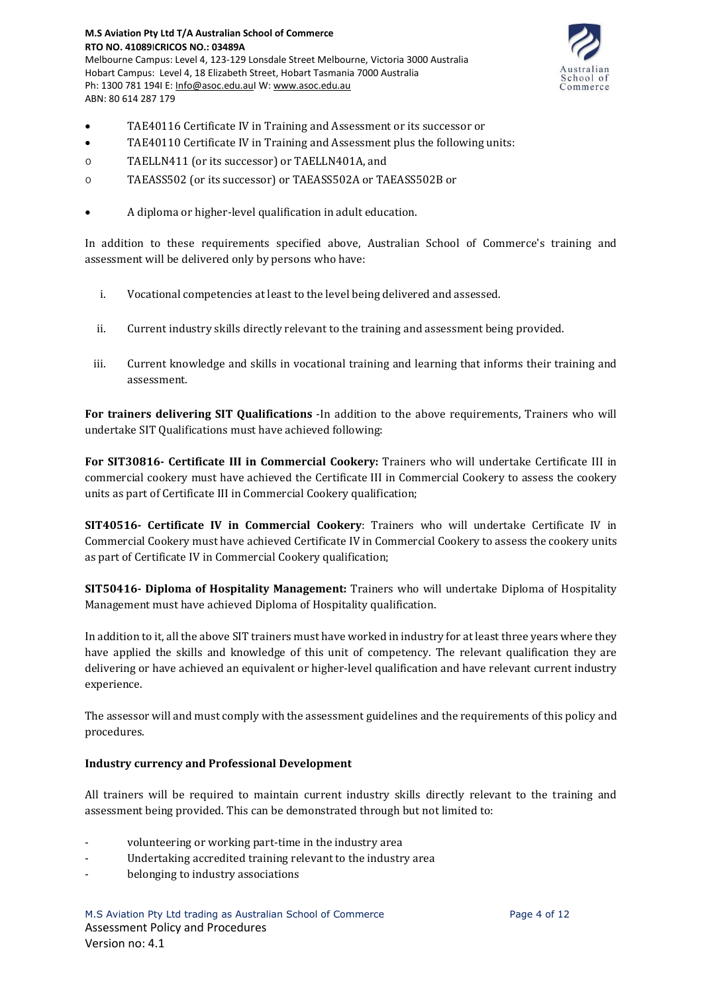

- TAE40116 Certificate IV in Training and Assessment or its successor or
- TAE40110 Certificate IV in Training and Assessment plus the following units:
- o TAELLN411 (or its successor) or TAELLN401A, and
- o TAEASS502 (or its successor) or TAEASS502A or TAEASS502B or
- A diploma or higher-level qualification in adult education.

In addition to these requirements specified above, Australian School of Commerce's training and assessment will be delivered only by persons who have:

- i. Vocational competencies at least to the level being delivered and assessed.
- ii. Current industry skills directly relevant to the training and assessment being provided.
- iii. Current knowledge and skills in vocational training and learning that informs their training and assessment.

**For trainers delivering SIT Qualifications** -In addition to the above requirements, Trainers who will undertake SIT Qualifications must have achieved following:

**For SIT30816- Certificate III in Commercial Cookery:** Trainers who will undertake Certificate III in commercial cookery must have achieved the Certificate III in Commercial Cookery to assess the cookery units as part of Certificate III in Commercial Cookery qualification;

**SIT40516- Certificate IV in Commercial Cookery**: Trainers who will undertake Certificate IV in Commercial Cookery must have achieved Certificate IV in Commercial Cookery to assess the cookery units as part of Certificate IV in Commercial Cookery qualification;

**SIT50416- Diploma of Hospitality Management:** Trainers who will undertake Diploma of Hospitality Management must have achieved Diploma of Hospitality qualification.

In addition to it, all the above SIT trainers must have worked in industry for at least three years where they have applied the skills and knowledge of this unit of competency. The relevant qualification they are delivering or have achieved an equivalent or higher-level qualification and have relevant current industry experience.

The assessor will and must comply with the assessment guidelines and the requirements of this policy and procedures.

#### **Industry currency and Professional Development**

All trainers will be required to maintain current industry skills directly relevant to the training and assessment being provided. This can be demonstrated through but not limited to:

- volunteering or working part-time in the industry area
- Undertaking accredited training relevant to the industry area
- belonging to industry associations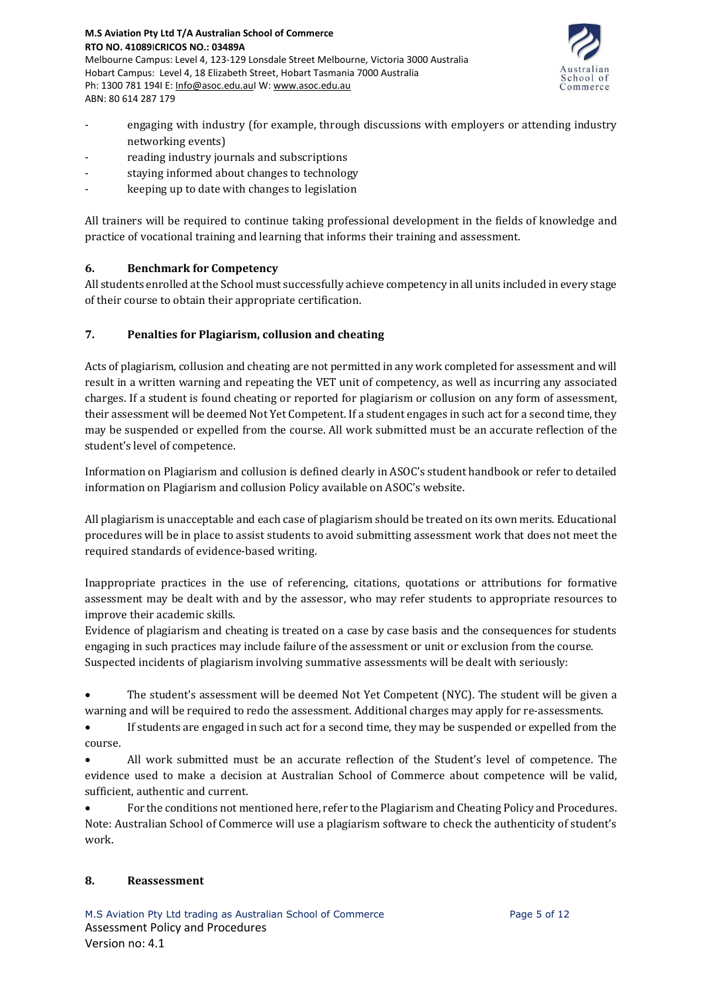

- engaging with industry (for example, through discussions with employers or attending industry networking events)
- reading industry journals and subscriptions
- staying informed about changes to technology
- keeping up to date with changes to legislation

All trainers will be required to continue taking professional development in the fields of knowledge and practice of vocational training and learning that informs their training and assessment.

# **6. Benchmark for Competency**

All students enrolled atthe School must successfully achieve competency in all units included in every stage of their course to obtain their appropriate certification.

# **7. Penalties for Plagiarism, collusion and cheating**

Acts of plagiarism, collusion and cheating are not permitted in any work completed for assessment and will result in a written warning and repeating the VET unit of competency, as well as incurring any associated charges. If a student is found cheating or reported for plagiarism or collusion on any form of assessment, their assessment will be deemed Not Yet Competent. If a student engages in such act for a second time, they may be suspended or expelled from the course. All work submitted must be an accurate reflection of the student's level of competence.

Information on Plagiarism and collusion is defined clearly in ASOC's student handbook or refer to detailed information on Plagiarism and collusion Policy available on ASOC's website.

All plagiarism is unacceptable and each case of plagiarism should be treated on its own merits. Educational procedures will be in place to assist students to avoid submitting assessment work that does not meet the required standards of evidence-based writing.

Inappropriate practices in the use of referencing, citations, quotations or attributions for formative assessment may be dealt with and by the assessor, who may refer students to appropriate resources to improve their academic skills.

Evidence of plagiarism and cheating is treated on a case by case basis and the consequences for students engaging in such practices may include failure of the assessment or unit or exclusion from the course. Suspected incidents of plagiarism involving summative assessments will be dealt with seriously:

• The student's assessment will be deemed Not Yet Competent (NYC). The student will be given a warning and will be required to redo the assessment. Additional charges may apply for re-assessments.

If students are engaged in such act for a second time, they may be suspended or expelled from the course.

• All work submitted must be an accurate reflection of the Student's level of competence. The evidence used to make a decision at Australian School of Commerce about competence will be valid, sufficient, authentic and current.

• For the conditions not mentioned here, refer to the Plagiarism and Cheating Policy and Procedures. Note: Australian School of Commerce will use a plagiarism software to check the authenticity of student's work.

# **8. Reassessment**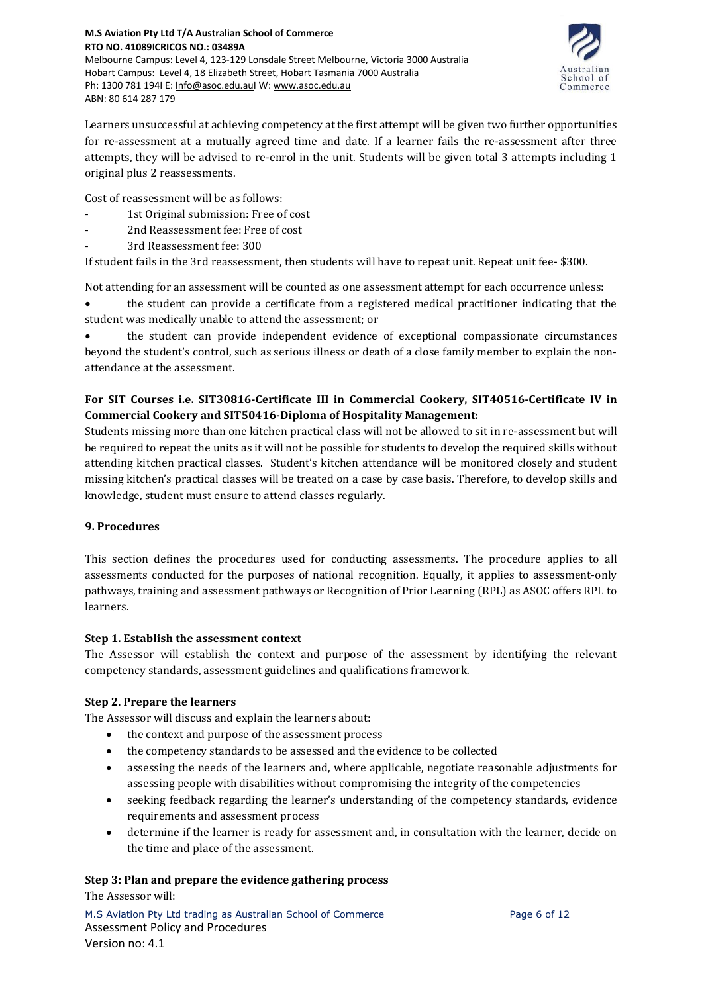

Learners unsuccessful at achieving competency at the first attempt will be given two further opportunities for re-assessment at a mutually agreed time and date. If a learner fails the re-assessment after three attempts, they will be advised to re-enrol in the unit. Students will be given total 3 attempts including 1 original plus 2 reassessments.

Cost of reassessment will be as follows:

- 1st Original submission: Free of cost
- 2nd Reassessment fee: Free of cost
	- 3rd Reassessment fee: 300

If student fails in the 3rd reassessment, then students will have to repeat unit. Repeat unit fee- \$300.

Not attending for an assessment will be counted as one assessment attempt for each occurrence unless:

• the student can provide a certificate from a registered medical practitioner indicating that the student was medically unable to attend the assessment; or

• the student can provide independent evidence of exceptional compassionate circumstances beyond the student's control, such as serious illness or death of a close family member to explain the nonattendance at the assessment.

# **For SIT Courses i.e. SIT30816-Certificate III in Commercial Cookery, SIT40516-Certificate IV in Commercial Cookery and SIT50416-Diploma of Hospitality Management:**

Students missing more than one kitchen practical class will not be allowed to sit in re-assessment but will be required to repeat the units as it will not be possible for students to develop the required skills without attending kitchen practical classes. Student's kitchen attendance will be monitored closely and student missing kitchen's practical classes will be treated on a case by case basis. Therefore, to develop skills and knowledge, student must ensure to attend classes regularly.

# **9. Procedures**

This section defines the procedures used for conducting assessments. The procedure applies to all assessments conducted for the purposes of national recognition. Equally, it applies to assessment-only pathways, training and assessment pathways or Recognition of Prior Learning (RPL) as ASOC offers RPL to learners.

# **Step 1. Establish the assessment context**

The Assessor will establish the context and purpose of the assessment by identifying the relevant competency standards, assessment guidelines and qualifications framework.

# **Step 2. Prepare the learners**

The Assessor will discuss and explain the learners about:

- the context and purpose of the assessment process
- the competency standards to be assessed and the evidence to be collected
- assessing the needs of the learners and, where applicable, negotiate reasonable adjustments for assessing people with disabilities without compromising the integrity of the competencies
- seeking feedback regarding the learner's understanding of the competency standards, evidence requirements and assessment process
- determine if the learner is ready for assessment and, in consultation with the learner, decide on the time and place of the assessment.

# **Step 3: Plan and prepare the evidence gathering process**

The Assessor will: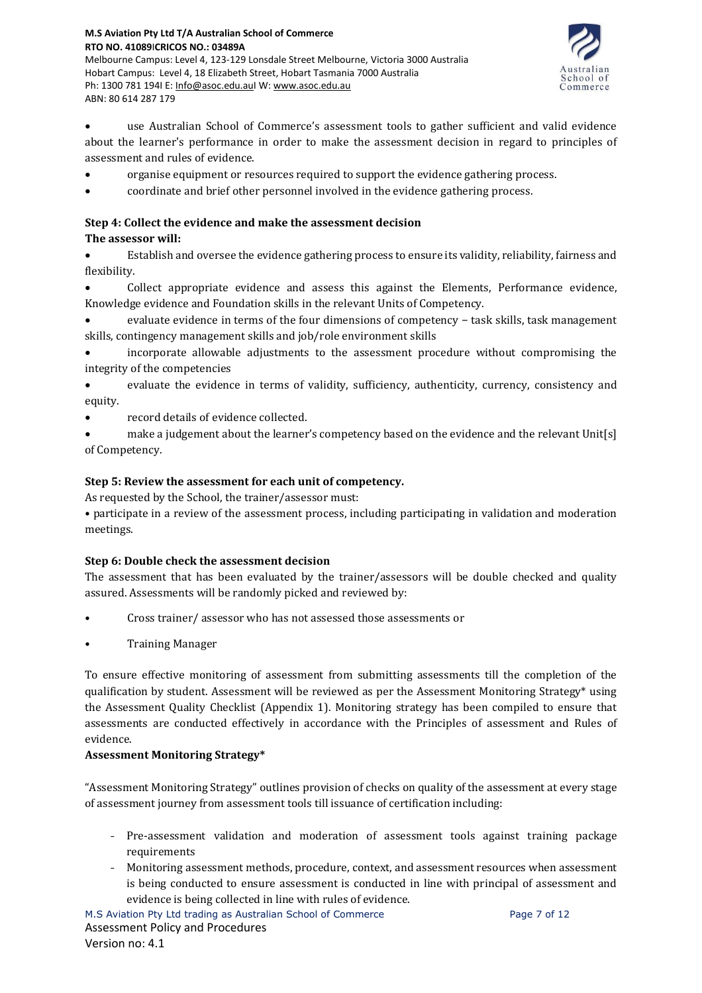

• use Australian School of Commerce's assessment tools to gather sufficient and valid evidence about the learner's performance in order to make the assessment decision in regard to principles of assessment and rules of evidence.

- organise equipment or resources required to support the evidence gathering process.
- coordinate and brief other personnel involved in the evidence gathering process.

# **Step 4: Collect the evidence and make the assessment decision**

# **The assessor will:**

• Establish and oversee the evidence gathering process to ensure its validity, reliability, fairness and flexibility.

• Collect appropriate evidence and assess this against the Elements, Performance evidence, Knowledge evidence and Foundation skills in the relevant Units of Competency.

• evaluate evidence in terms of the four dimensions of competency − task skills, task management skills, contingency management skills and job/role environment skills

• incorporate allowable adjustments to the assessment procedure without compromising the integrity of the competencies

• evaluate the evidence in terms of validity, sufficiency, authenticity, currency, consistency and equity.

- record details of evidence collected.
- make a judgement about the learner's competency based on the evidence and the relevant Unit[s] of Competency.

# **Step 5: Review the assessment for each unit of competency.**

As requested by the School, the trainer/assessor must:

• participate in a review of the assessment process, including participating in validation and moderation meetings.

# **Step 6: Double check the assessment decision**

The assessment that has been evaluated by the trainer/assessors will be double checked and quality assured. Assessments will be randomly picked and reviewed by:

- Cross trainer/ assessor who has not assessed those assessments or
- Training Manager

To ensure effective monitoring of assessment from submitting assessments till the completion of the qualification by student. Assessment will be reviewed as per the Assessment Monitoring Strategy\* using the Assessment Quality Checklist (Appendix 1). Monitoring strategy has been compiled to ensure that assessments are conducted effectively in accordance with the Principles of assessment and Rules of evidence.

# **Assessment Monitoring Strategy\***

"Assessment Monitoring Strategy" outlines provision of checks on quality of the assessment at every stage of assessment journey from assessment tools till issuance of certification including:

- Pre-assessment validation and moderation of assessment tools against training package requirements
- Monitoring assessment methods, procedure, context, and assessment resources when assessment is being conducted to ensure assessment is conducted in line with principal of assessment and evidence is being collected in line with rules of evidence.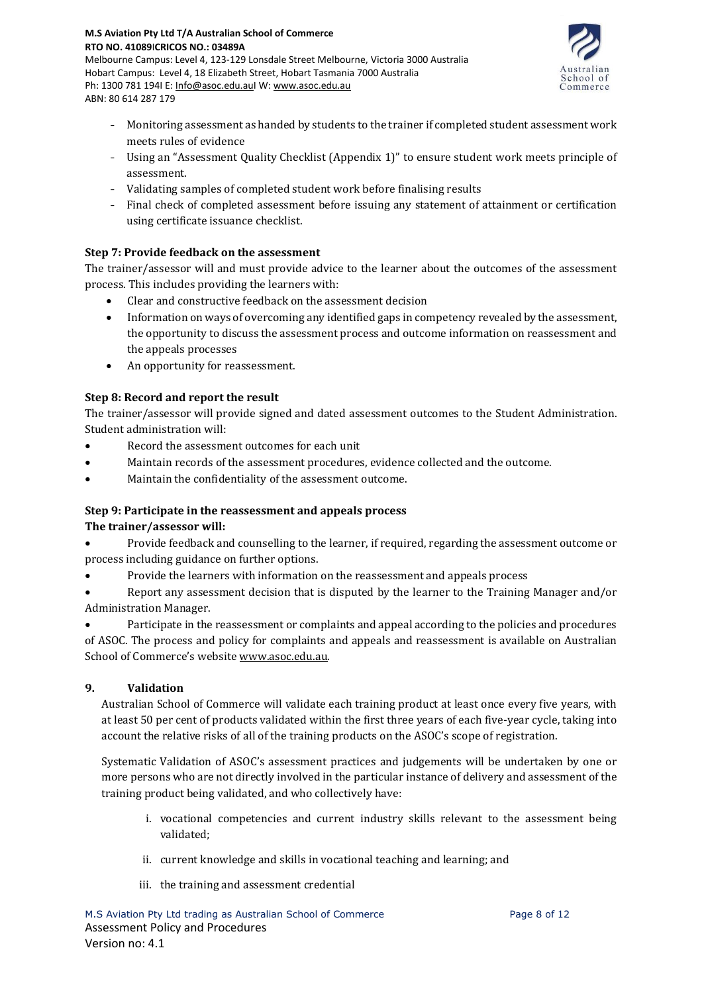

- Monitoring assessment as handed by students to the trainer if completed student assessment work meets rules of evidence
- Using an "Assessment Quality Checklist (Appendix 1)" to ensure student work meets principle of assessment.
- Validating samples of completed student work before finalising results
- Final check of completed assessment before issuing any statement of attainment or certification using certificate issuance checklist.

# **Step 7: Provide feedback on the assessment**

The trainer/assessor will and must provide advice to the learner about the outcomes of the assessment process. This includes providing the learners with:

- Clear and constructive feedback on the assessment decision
- Information on ways of overcoming any identified gaps in competency revealed by the assessment, the opportunity to discuss the assessment process and outcome information on reassessment and the appeals processes
- An opportunity for reassessment.

# **Step 8: Record and report the result**

The trainer/assessor will provide signed and dated assessment outcomes to the Student Administration. Student administration will:

- Record the assessment outcomes for each unit
- Maintain records of the assessment procedures, evidence collected and the outcome.
- Maintain the confidentiality of the assessment outcome.

# **Step 9: Participate in the reassessment and appeals process**

# **The trainer/assessor will:**

- Provide feedback and counselling to the learner, if required, regarding the assessment outcome or process including guidance on further options.
- Provide the learners with information on the reassessment and appeals process

• Report any assessment decision that is disputed by the learner to the Training Manager and/or Administration Manager.

• Participate in the reassessment or complaints and appeal according to the policies and procedures of ASOC. The process and policy for complaints and appeals and reassessment is available on Australian School of Commerce's website [www.asoc.edu.au.](http://www.asoc.edu.au/)

# **9. Validation**

Australian School of Commerce will validate each training product at least once every five years, with at least 50 per cent of products validated within the first three years of each five-year cycle, taking into account the relative risks of all of the training products on the ASOC's scope of registration.

Systematic Validation of ASOC's assessment practices and judgements will be undertaken by one or more persons who are not directly involved in the particular instance of delivery and assessment of the training product being validated, and who collectively have:

- i. vocational competencies and current industry skills relevant to the assessment being validated;
- ii. current knowledge and skills in vocational teaching and learning; and
- iii. the training and assessment credential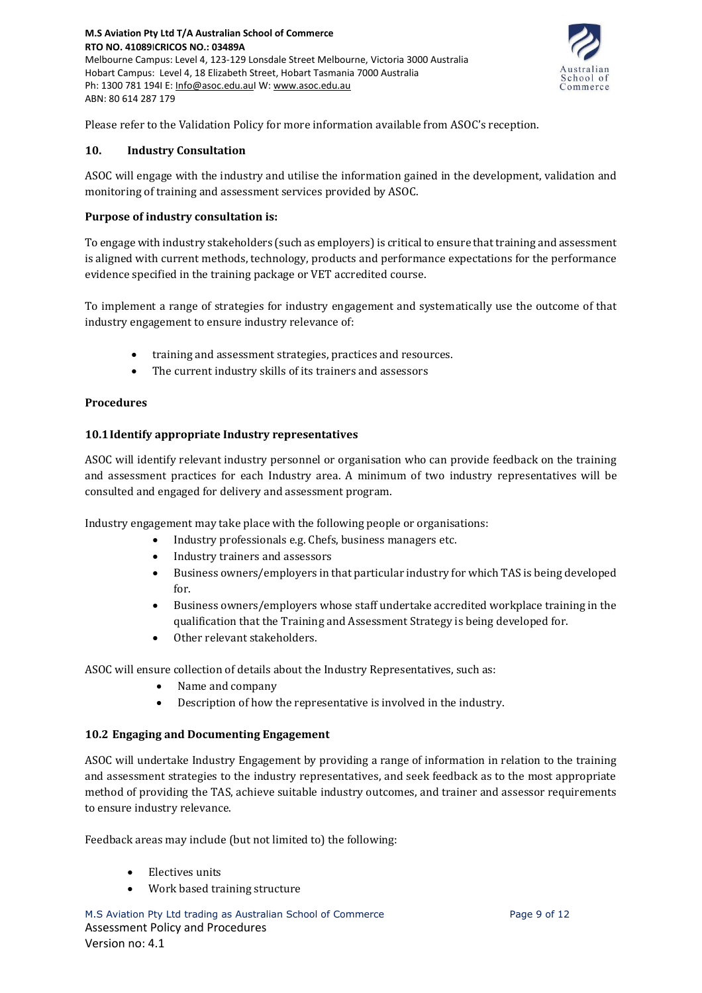

Please refer to the Validation Policy for more information available from ASOC's reception.

#### **10. Industry Consultation**

ASOC will engage with the industry and utilise the information gained in the development, validation and monitoring of training and assessment services provided by ASOC.

#### **Purpose of industry consultation is:**

To engage with industry stakeholders (such as employers) is critical to ensure that training and assessment is aligned with current methods, technology, products and performance expectations for the performance evidence specified in the training package or VET accredited course.

To implement a range of strategies for industry engagement and systematically use the outcome of that industry engagement to ensure industry relevance of:

- training and assessment strategies, practices and resources.
- The current industry skills of its trainers and assessors

#### **Procedures**

#### **10.1Identify appropriate Industry representatives**

ASOC will identify relevant industry personnel or organisation who can provide feedback on the training and assessment practices for each Industry area. A minimum of two industry representatives will be consulted and engaged for delivery and assessment program.

Industry engagement may take place with the following people or organisations:

- Industry professionals e.g. Chefs, business managers etc.
- Industry trainers and assessors
- Business owners/employers in that particular industry for which TAS is being developed for.
- Business owners/employers whose staff undertake accredited workplace training in the qualification that the Training and Assessment Strategy is being developed for.
- Other relevant stakeholders.

ASOC will ensure collection of details about the Industry Representatives, such as:

- Name and company
- Description of how the representative is involved in the industry.

#### **10.2 Engaging and Documenting Engagement**

ASOC will undertake Industry Engagement by providing a range of information in relation to the training and assessment strategies to the industry representatives, and seek feedback as to the most appropriate method of providing the TAS, achieve suitable industry outcomes, and trainer and assessor requirements to ensure industry relevance.

Feedback areas may include (but not limited to) the following:

- Electives units
- Work based training structure

M.S Aviation Pty Ltd trading as Australian School of Commerce Page 9 of 12 Assessment Policy and Procedures Version no: 4.1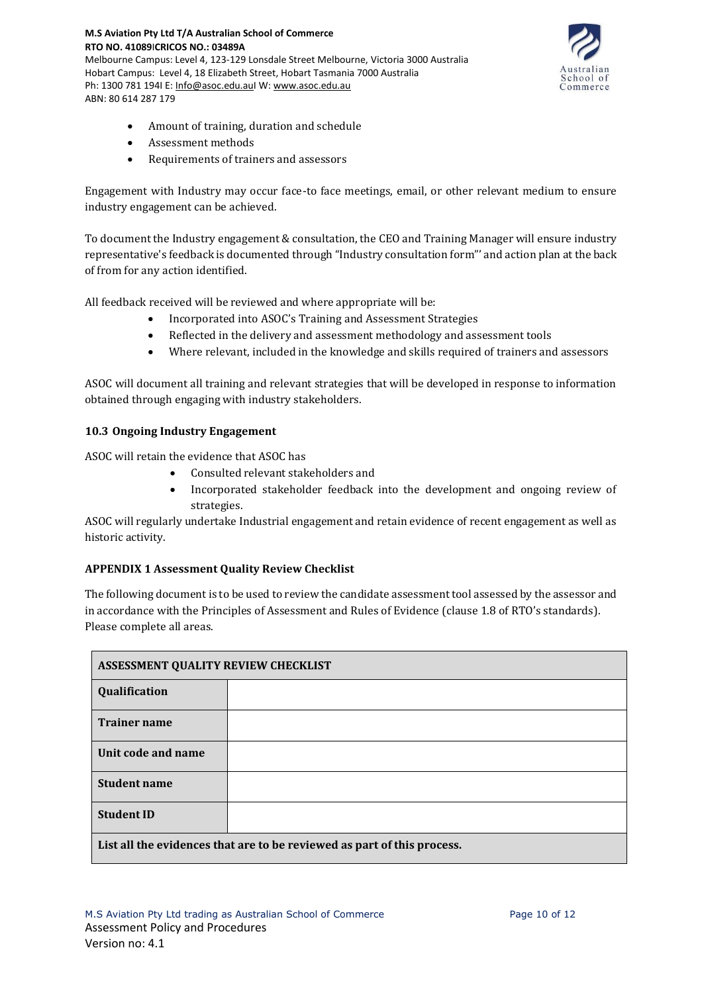**RTO NO. 41089**I**CRICOS NO.: 03489A** Melbourne Campus: Level 4, 123-129 Lonsdale Street Melbourne, Victoria 3000 Australia Hobart Campus: Level 4, 18 Elizabeth Street, Hobart Tasmania 7000 Australia Ph: 1300 781 194I E: [Info@asoc.edu.auI](mailto:Info@asoc.edu.au) W: [www.asoc.edu.au](http://www.asoc.edu.au/) ABN: 80 614 287 179



- Amount of training, duration and schedule
- Assessment methods

**M.S Aviation Pty Ltd T/A Australian School of Commerce**

• Requirements of trainers and assessors

Engagement with Industry may occur face-to face meetings, email, or other relevant medium to ensure industry engagement can be achieved.

To document the Industry engagement & consultation, the CEO and Training Manager will ensure industry representative's feedback is documented through "Industry consultation form"' and action plan at the back of from for any action identified.

All feedback received will be reviewed and where appropriate will be:

- Incorporated into ASOC's Training and Assessment Strategies
- Reflected in the delivery and assessment methodology and assessment tools
- Where relevant, included in the knowledge and skills required of trainers and assessors

ASOC will document all training and relevant strategies that will be developed in response to information obtained through engaging with industry stakeholders.

#### **10.3 Ongoing Industry Engagement**

ASOC will retain the evidence that ASOC has

- Consulted relevant stakeholders and
- Incorporated stakeholder feedback into the development and ongoing review of strategies.

ASOC will regularly undertake Industrial engagement and retain evidence of recent engagement as well as historic activity.

#### **APPENDIX 1 Assessment Quality Review Checklist**

The following document is to be used to review the candidate assessment tool assessed by the assessor and in accordance with the Principles of Assessment and Rules of Evidence (clause 1.8 of RTO's standards). Please complete all areas.

| ASSESSMENT QUALITY REVIEW CHECKLIST                                     |  |  |  |
|-------------------------------------------------------------------------|--|--|--|
| Qualification                                                           |  |  |  |
| <b>Trainer name</b>                                                     |  |  |  |
| Unit code and name                                                      |  |  |  |
| <b>Student name</b>                                                     |  |  |  |
| <b>Student ID</b>                                                       |  |  |  |
| List all the evidences that are to be reviewed as part of this process. |  |  |  |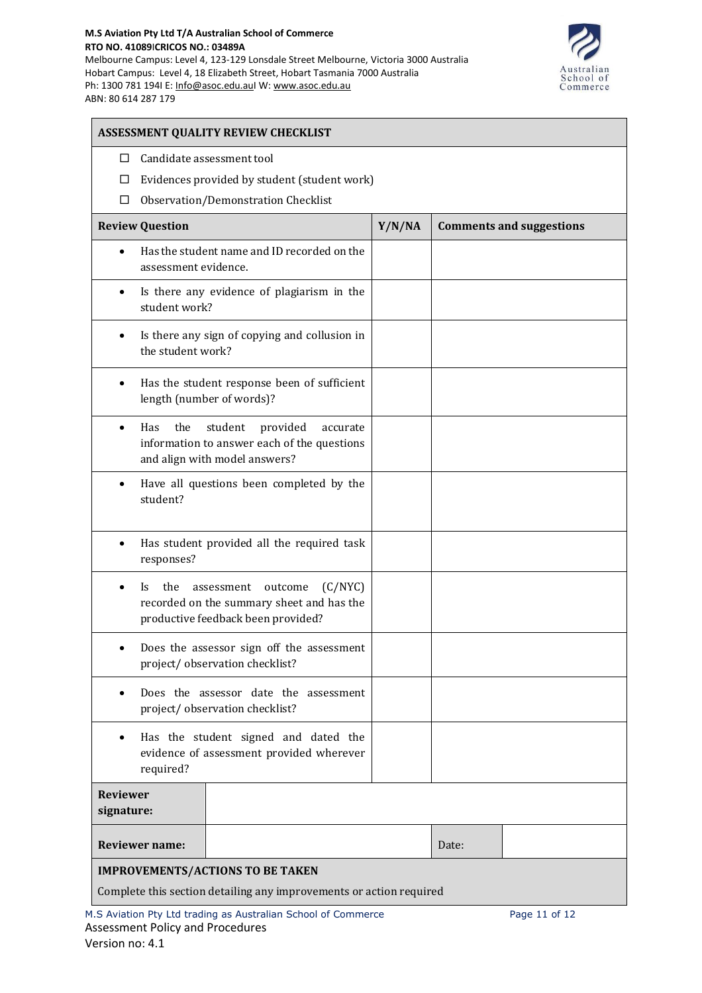#### **M.S Aviation Pty Ltd T/A Australian School of Commerce RTO NO. 41089**I**CRICOS NO.: 03489A**

Melbourne Campus: Level 4, 123-129 Lonsdale Street Melbourne, Victoria 3000 Australia Hobart Campus: Level 4, 18 Elizabeth Street, Hobart Tasmania 7000 Australia Ph: 1300 781 1941 E: [Info@asoc.edu.auI](mailto:Info@asoc.edu.au) W: [www.asoc.edu.au](http://www.asoc.edu.au/) ABN: 80 614 287 179



| ASSESSMENT QUALITY REVIEW CHECKLIST                                                                                                        |        |                                 |  |  |  |
|--------------------------------------------------------------------------------------------------------------------------------------------|--------|---------------------------------|--|--|--|
| Candidate assessment tool<br>$\Box$                                                                                                        |        |                                 |  |  |  |
| Evidences provided by student (student work)<br>⊔                                                                                          |        |                                 |  |  |  |
| Observation/Demonstration Checklist<br>⊔                                                                                                   |        |                                 |  |  |  |
| <b>Review Question</b>                                                                                                                     | Y/N/NA | <b>Comments and suggestions</b> |  |  |  |
| Has the student name and ID recorded on the<br>$\bullet$<br>assessment evidence.                                                           |        |                                 |  |  |  |
| Is there any evidence of plagiarism in the<br>$\bullet$<br>student work?                                                                   |        |                                 |  |  |  |
| Is there any sign of copying and collusion in<br>٠<br>the student work?                                                                    |        |                                 |  |  |  |
| Has the student response been of sufficient<br>$\bullet$<br>length (number of words)?                                                      |        |                                 |  |  |  |
| the<br>student<br>provided<br>Has<br>accurate<br>$\bullet$<br>information to answer each of the questions<br>and align with model answers? |        |                                 |  |  |  |
| Have all questions been completed by the<br>$\bullet$<br>student?                                                                          |        |                                 |  |  |  |
| Has student provided all the required task<br>$\bullet$<br>responses?                                                                      |        |                                 |  |  |  |
| the<br>(C/NYC)<br>outcome<br>Is.<br>assessment<br>recorded on the summary sheet and has the<br>productive feedback been provided?          |        |                                 |  |  |  |
| Does the assessor sign off the assessment<br>project/observation checklist?                                                                |        |                                 |  |  |  |
| Does the assessor date the assessment<br>$\bullet$<br>project/observation checklist?                                                       |        |                                 |  |  |  |
| Has the student signed and dated the<br>$\bullet$<br>evidence of assessment provided wherever<br>required?                                 |        |                                 |  |  |  |
| <b>Reviewer</b><br>signature:                                                                                                              |        |                                 |  |  |  |
| <b>Reviewer name:</b>                                                                                                                      |        | Date:                           |  |  |  |
| <b>IMPROVEMENTS/ACTIONS TO BE TAKEN</b>                                                                                                    |        |                                 |  |  |  |
| Complete this section detailing any improvements or action required                                                                        |        |                                 |  |  |  |